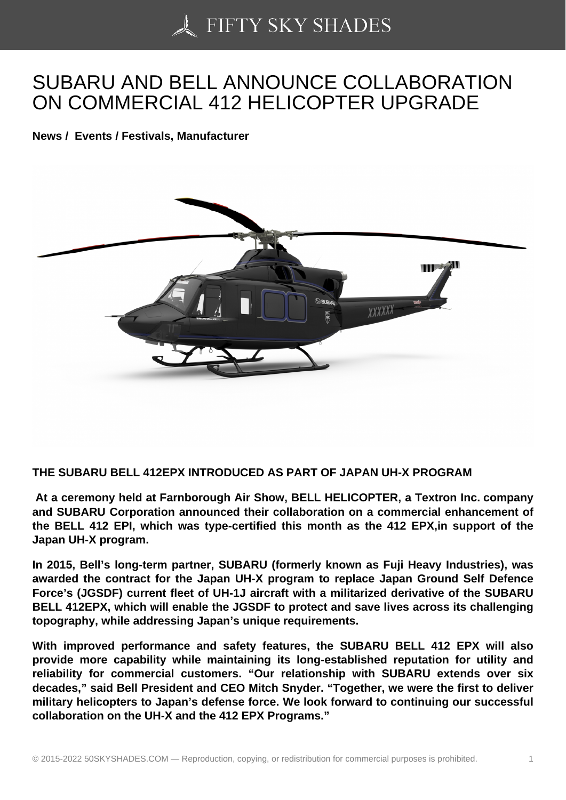## [SUBARU AND BELL A](https://50skyshades.com)NNOUNCE COLLABORATION ON COMMERCIAL 412 HELICOPTER UPGRADE

News / Events / Festivals, Manufacturer

THE SUBARU BELL 412EPX INTRODUCED AS PART OF JAPAN UH-X PROGRAM

 At a ceremony held at Farnborough Air Show, BELL HELICOPTER, a Textron Inc. company and SUBARU Corporation announced their collaboration on a commercial enhancement of the BELL 412 EPI, which was type-certified this month as the 412 EPX,in support of the Japan UH-X program.

In 2015, Bell's long-term partner, SUBARU (formerly known as Fuji Heavy Industries), was awarded the contract for the Japan UH-X program to replace Japan Ground Self Defence Force's (JGSDF) current fleet of UH-1J aircraft with a militarized derivative of the SUBARU BELL 412EPX, which will enable the JGSDF to protect and save lives across its challenging topography, while addressing Japan's unique requirements.

With improved performance and safety features, the SUBARU BELL 412 EPX will also provide more capability while maintaining its long-established reputation for utility and reliability for commercial customers. "Our relationship with SUBARU extends over six decades," said Bell President and CEO Mitch Snyder. "Together, we were the first to deliver military helicopters to Japan's defense force. We look forward to continuing our successful collaboration on the UH-X and the 412 EPX Programs."